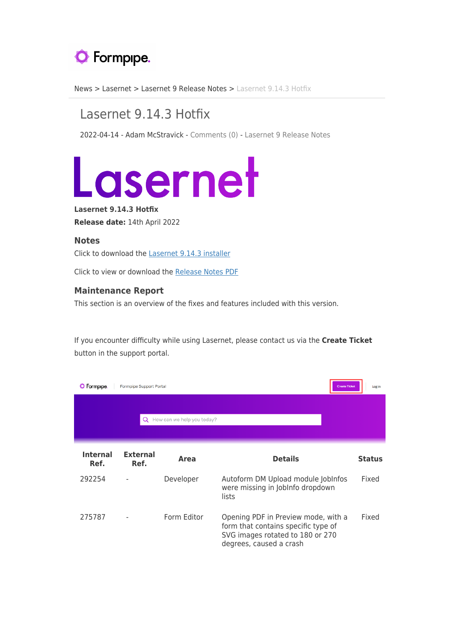## **O** Formpipe.

[News](https://support.formpipe.com/news) > [Lasernet](https://support.formpipe.com/news/lasernet) > [Lasernet 9 Release Notes](https://support.formpipe.com/news/lasernet-9-release-notes) > [Lasernet 9.14.3 Hotfix](https://support.formpipe.com/news/posts/lasernet-9-14-3-hotfix)

## Lasernet 9.14.3 Hotfix

2022-04-14 - Adam McStravick - [Comments \(0\)](#page--1-0) - [Lasernet 9 Release Notes](https://support.formpipe.com/news/lasernet-9-release-notes)



**Lasernet 9.14.3 Hotfix Release date:** 14th April 2022

## **Notes**

Click to download the [Lasernet 9.14.3 installer](https://support.formpipe.com/downloads/files/55)

Click to view or download the [Release Notes PDF](https://prsupportdownloads.blob.core.windows.net/lasernet/Documentation/Lasernet_9/Lasernet_9.14.3_Hotfix_Release_Notes.pdf)

## **Maintenance Report**

This section is an overview of the fixes and features included with this version.

If you encounter difficulty while using Lasernet, please contact us via the **Create Ticket** button in the support portal.

| Formpipe.                  | <b>Formpipe Support Portal</b> |             |                                                                                                                                           | <b>Create Ticket</b> | Log in        |  |  |
|----------------------------|--------------------------------|-------------|-------------------------------------------------------------------------------------------------------------------------------------------|----------------------|---------------|--|--|
| How can we help you today? |                                |             |                                                                                                                                           |                      |               |  |  |
| <b>Internal</b><br>Ref.    | <b>External</b><br>Ref.        | Area        | <b>Details</b>                                                                                                                            |                      | <b>Status</b> |  |  |
| 292254                     |                                | Developer   | Autoform DM Upload module JobInfos<br>were missing in JobInfo dropdown<br>lists                                                           |                      | Fixed         |  |  |
| 275787                     |                                | Form Editor | Opening PDF in Preview mode, with a<br>form that contains specific type of<br>SVG images rotated to 180 or 270<br>degrees, caused a crash |                      | Fixed         |  |  |